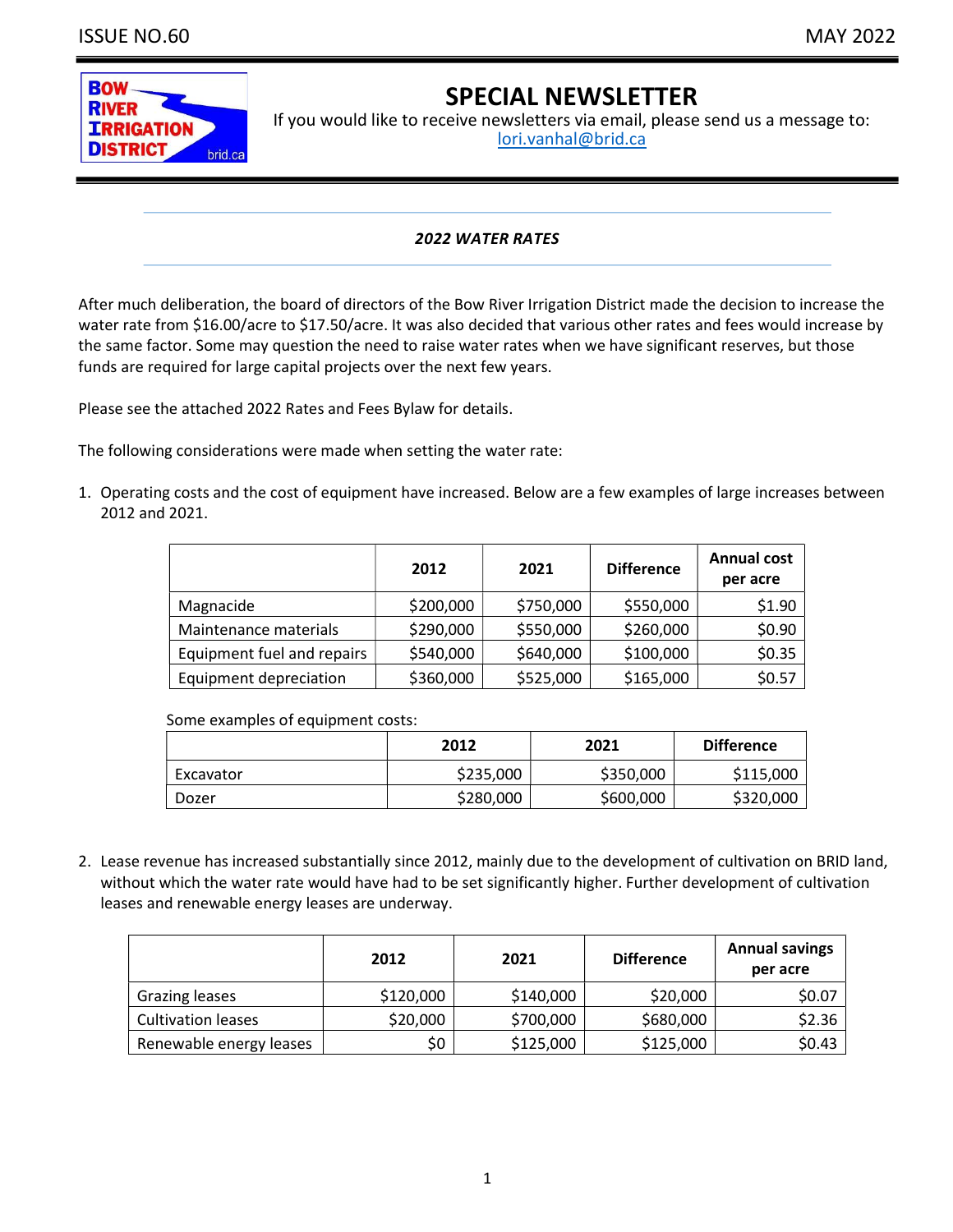

# SPECIAL NEWSLETTER

If you would like to receive newsletters via email, please send us a message to: lori.vanhal@brid.ca

## 2022 WATER RATES

After much deliberation, the board of directors of the Bow River Irrigation District made the decision to increase the water rate from \$16.00/acre to \$17.50/acre. It was also decided that various other rates and fees would increase by the same factor. Some may question the need to raise water rates when we have significant reserves, but those funds are required for large capital projects over the next few years.

Please see the attached 2022 Rates and Fees Bylaw for details.

The following considerations were made when setting the water rate:

1. Operating costs and the cost of equipment have increased. Below are a few examples of large increases between 2012 and 2021.

|                            | 2012      | 2021      | <b>Difference</b> | <b>Annual cost</b><br>per acre |
|----------------------------|-----------|-----------|-------------------|--------------------------------|
| Magnacide                  | \$200,000 | \$750,000 | \$550,000         | \$1.90                         |
| Maintenance materials      | \$290,000 | \$550,000 | \$260,000         | \$0.90                         |
| Equipment fuel and repairs | \$540,000 | \$640,000 | \$100,000         | \$0.35                         |
| Equipment depreciation     | \$360,000 | \$525,000 | \$165,000         | \$0.57                         |

Some examples of equipment costs:

|           | 2012      | 2021      | <b>Difference</b> |
|-----------|-----------|-----------|-------------------|
| Excavator | \$235,000 | \$350,000 | \$115,000         |
| Dozer     | \$280,000 | \$600,000 | \$320,000         |

2. Lease revenue has increased substantially since 2012, mainly due to the development of cultivation on BRID land, without which the water rate would have had to be set significantly higher. Further development of cultivation leases and renewable energy leases are underway.

|                           | 2012      | 2021      | <b>Difference</b> | <b>Annual savings</b><br>per acre |
|---------------------------|-----------|-----------|-------------------|-----------------------------------|
| Grazing leases            | \$120,000 | \$140,000 | \$20,000          | \$0.07                            |
| <b>Cultivation leases</b> | \$20,000  | \$700,000 | \$680,000         | \$2.36                            |
| Renewable energy leases   | \$0       | \$125,000 | \$125,000         | \$0.43                            |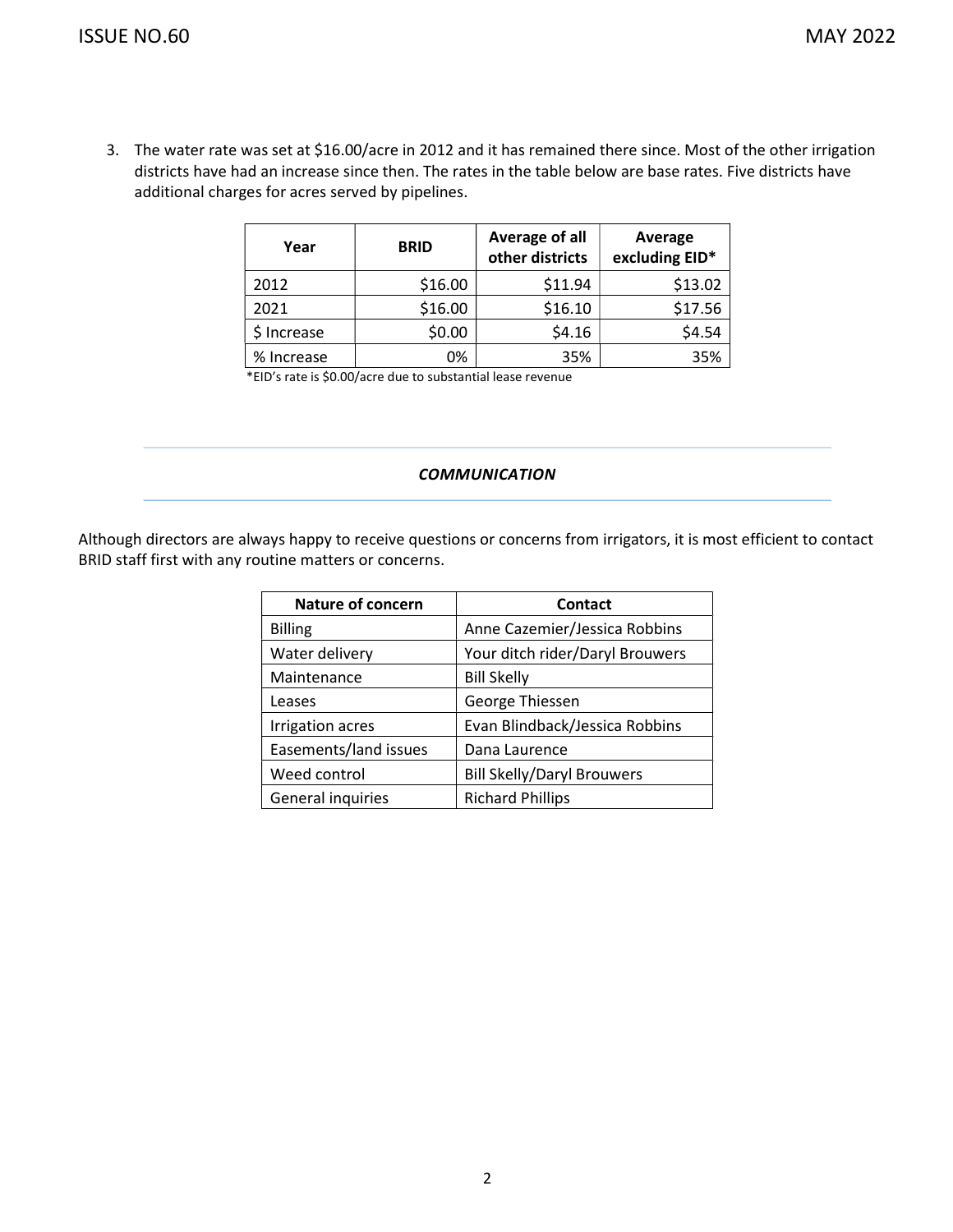3. The water rate was set at \$16.00/acre in 2012 and it has remained there since. Most of the other irrigation districts have had an increase since then. The rates in the table below are base rates. Five districts have additional charges for acres served by pipelines.

| Year        | <b>BRID</b> | Average of all<br>other districts | Average<br>excluding EID* |
|-------------|-------------|-----------------------------------|---------------------------|
| 2012        | \$16.00     | \$11.94                           | \$13.02                   |
| 2021        | \$16.00     | \$16.10                           | \$17.56                   |
| \$ Increase | \$0.00      | \$4.16                            | \$4.54                    |
| % Increase  | 0%          | 35%                               | 35%                       |

\*EID's rate is \$0.00/acre due to substantial lease revenue

## **COMMUNICATION**

Although directors are always happy to receive questions or concerns from irrigators, it is most efficient to contact BRID staff first with any routine matters or concerns.

| <b>Nature of concern</b> | Contact                           |
|--------------------------|-----------------------------------|
| <b>Billing</b>           | Anne Cazemier/Jessica Robbins     |
| Water delivery           | Your ditch rider/Daryl Brouwers   |
| Maintenance              | <b>Bill Skelly</b>                |
| Leases                   | George Thiessen                   |
| <b>Irrigation acres</b>  | Evan Blindback/Jessica Robbins    |
| Easements/land issues    | Dana Laurence                     |
| Weed control             | <b>Bill Skelly/Daryl Brouwers</b> |
| General inquiries        | <b>Richard Phillips</b>           |